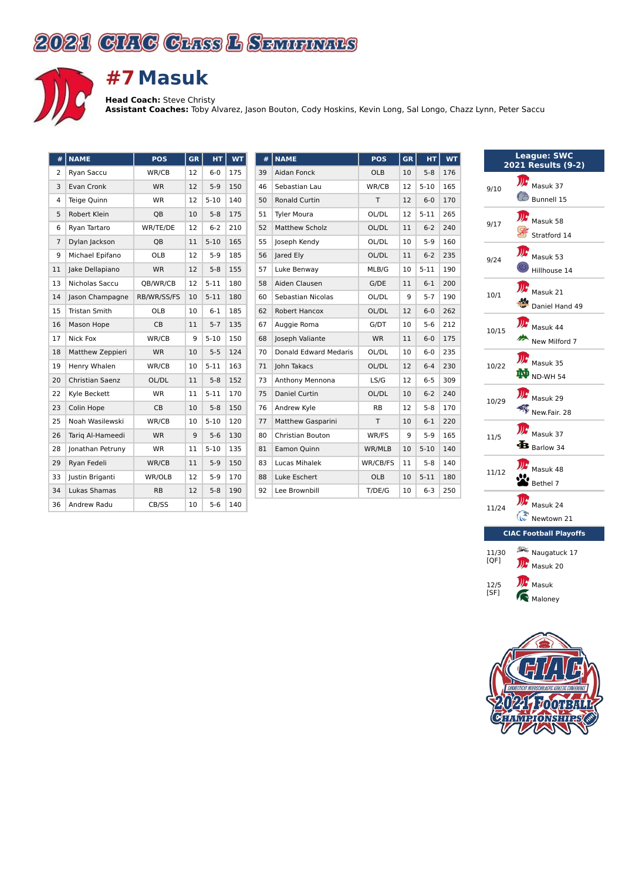## 2021 CHIG CHISS L SEMIENARS



## **#7Masuk**

**Head Coach:** Steve Christy

**Assistant Coaches:** Toby Alvarez, Jason Bouton, Cody Hoskins, Kevin Long, Sal Longo, Chazz Lynn, Peter Saccu

| #  | <b>NAME</b>            | <b>POS</b>  | GR | HT       | <b>WT</b> |
|----|------------------------|-------------|----|----------|-----------|
| 2  | Ryan Saccu             | WR/CB       | 12 | $6 - 0$  | 175       |
| 3  | Evan Cronk             | <b>WR</b>   | 12 | $5-9$    | 150       |
| 4  | Teige Quinn            | <b>WR</b>   | 12 | $5 - 10$ | 140       |
| 5  | Robert Klein           | QB          | 10 | $5-8$    | 175       |
| 6  | Ryan Tartaro           | WR/TE/DE    | 12 | $6 - 2$  | 210       |
| 7  | Dylan Jackson          | QB          | 11 | $5 - 10$ | 165       |
| 9  | Michael Epifano        | OLB         | 12 | 5-9      | 185       |
| 11 | Jake Dellapiano        | <b>WR</b>   | 12 | $5 - 8$  | 155       |
| 13 | Nicholas Saccu         | QB/WR/CB    | 12 | $5 - 11$ | 180       |
| 14 | Jason Champagne        | RB/WR/SS/FS | 10 | $5 - 11$ | 180       |
| 15 | <b>Tristan Smith</b>   | OLB         | 10 | $6 - 1$  | 185       |
| 16 | Mason Hope             | <b>CB</b>   | 11 | $5 - 7$  | 135       |
| 17 | Nick Fox               | WR/CB       | 9  | $5 - 10$ | 150       |
| 18 | Matthew Zeppieri       | <b>WR</b>   | 10 | $5 - 5$  | 124       |
| 19 | Henry Whalen           | WR/CB       | 10 | $5 - 11$ | 163       |
| 20 | <b>Christian Saenz</b> | OL/DL       | 11 | $5-8$    | 152       |
| 22 | Kyle Beckett           | <b>WR</b>   | 11 | $5 - 11$ | 170       |
| 23 | Colin Hope             | <b>CB</b>   | 10 | $5 - 8$  | 150       |
| 25 | Noah Wasilewski        | WR/CB       | 10 | $5-10$   | 120       |
| 26 | Tarig Al-Hameedi       | <b>WR</b>   | 9  | $5-6$    | 130       |
| 28 | Jonathan Petruny       | <b>WR</b>   | 11 | $5 - 10$ | 135       |
| 29 | Ryan Fedeli            | WR/CB       | 11 | $5-9$    | 150       |
| 33 | Justin Briganti        | WR/OLB      | 12 | 5-9      | 170       |
| 34 | Lukas Shamas           | <b>RB</b>   | 12 | $5 - 8$  | 190       |
| 36 | Andrew Radu            | CB/SS       | 10 | $5-6$    | 140       |

| #  | <b>NAME</b>                  | <b>POS</b> | GR | HТ       | WT  |
|----|------------------------------|------------|----|----------|-----|
| 39 | Aidan Fonck                  | OLB        | 10 | $5 - 8$  | 176 |
| 46 | Sebastian Lau                | WR/CB      | 12 | $5 - 10$ | 165 |
| 50 | <b>Ronald Curtin</b>         | T          | 12 | $6-0$    | 170 |
| 51 | <b>Tyler Moura</b>           | OL/DL      | 12 | $5 - 11$ | 265 |
| 52 | <b>Matthew Scholz</b>        | OL/DL      | 11 | $6 - 2$  | 240 |
| 55 | Joseph Kendy                 | OL/DL      | 10 | $5-9$    | 160 |
| 56 | Jared Ely                    | OL/DL      | 11 | $6 - 2$  | 235 |
| 57 | Luke Benway                  | MLB/G      | 10 | $5 - 11$ | 190 |
| 58 | Aiden Clausen                | G/DE       | 11 | $6-1$    | 200 |
| 60 | Sebastian Nicolas            | OL/DL      | 9  | $5 - 7$  | 190 |
| 62 | <b>Robert Hancox</b>         | OL/DL      | 12 | $6-0$    | 262 |
| 67 | Auggie Roma                  | G/DT       | 10 | $5-6$    | 212 |
| 68 | Joseph Valiante              | <b>WR</b>  | 11 | $6-0$    | 175 |
| 70 | <b>Donald Edward Medaris</b> | OL/DL      | 10 | $6-0$    | 235 |
| 71 | John Takacs                  | OL/DL      | 12 | $6 - 4$  | 230 |
| 73 | Anthony Mennona              | LS/G       | 12 | $6-5$    | 309 |
| 75 | Daniel Curtin                | OL/DL      | 10 | $6 - 2$  | 240 |
| 76 | Andrew Kyle                  | <b>RB</b>  | 12 | $5 - 8$  | 170 |
| 77 | <b>Matthew Gasparini</b>     | т          | 10 | $6-1$    | 220 |
| 80 | <b>Christian Bouton</b>      | WR/FS      | 9  | $5-9$    | 165 |
| 81 | Eamon Quinn                  | WR/MLB     | 10 | $5-10$   | 140 |
| 83 | Lucas Mihalek                | WR/CB/FS   | 11 | $5 - 8$  | 140 |
| 88 | Luke Eschert                 | <b>OLB</b> | 10 | $5 - 11$ | 180 |
| 92 | Lee Brownbill                | T/DE/G     | 10 | $6 - 3$  | 250 |
|    |                              |            |    |          |     |